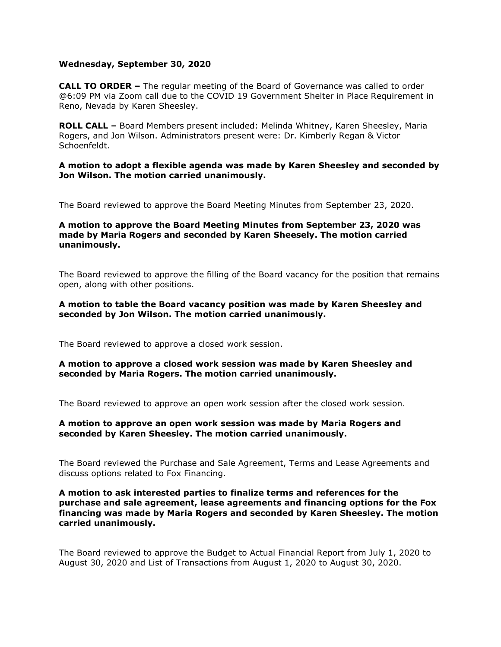## **Wednesday, September 30, 2020**

**CALL TO ORDER –** The regular meeting of the Board of Governance was called to order @6:09 PM via Zoom call due to the COVID 19 Government Shelter in Place Requirement in Reno, Nevada by Karen Sheesley.

**ROLL CALL –** Board Members present included: Melinda Whitney, Karen Sheesley, Maria Rogers, and Jon Wilson. Administrators present were: Dr. Kimberly Regan & Victor Schoenfeldt.

#### **A motion to adopt a flexible agenda was made by Karen Sheesley and seconded by Jon Wilson. The motion carried unanimously.**

The Board reviewed to approve the Board Meeting Minutes from September 23, 2020.

# **A motion to approve the Board Meeting Minutes from September 23, 2020 was made by Maria Rogers and seconded by Karen Sheesely. The motion carried unanimously.**

The Board reviewed to approve the filling of the Board vacancy for the position that remains open, along with other positions.

## **A motion to table the Board vacancy position was made by Karen Sheesley and seconded by Jon Wilson. The motion carried unanimously.**

The Board reviewed to approve a closed work session.

## **A motion to approve a closed work session was made by Karen Sheesley and seconded by Maria Rogers. The motion carried unanimously.**

The Board reviewed to approve an open work session after the closed work session.

## **A motion to approve an open work session was made by Maria Rogers and seconded by Karen Sheesley. The motion carried unanimously.**

The Board reviewed the Purchase and Sale Agreement, Terms and Lease Agreements and discuss options related to Fox Financing.

#### **A motion to ask interested parties to finalize terms and references for the purchase and sale agreement, lease agreements and financing options for the Fox financing was made by Maria Rogers and seconded by Karen Sheesley. The motion carried unanimously.**

The Board reviewed to approve the Budget to Actual Financial Report from July 1, 2020 to August 30, 2020 and List of Transactions from August 1, 2020 to August 30, 2020.